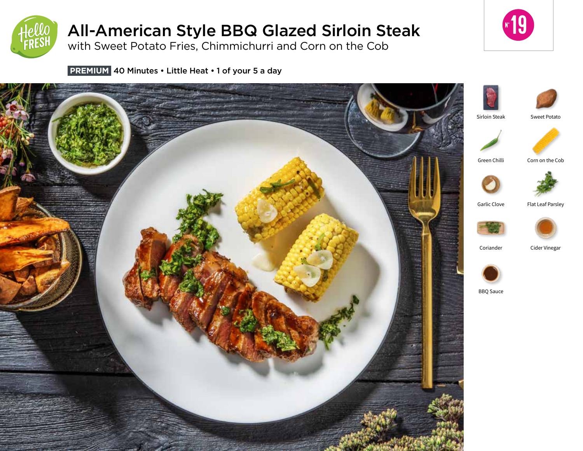

# All-American Style BBQ Glazed Sirloin Steak

with Sweet Potato Fries, Chimmichurri and Corn on the Cob



**PREMIUM** 40 Minutes • Little Heat • 1 of your 5 a day